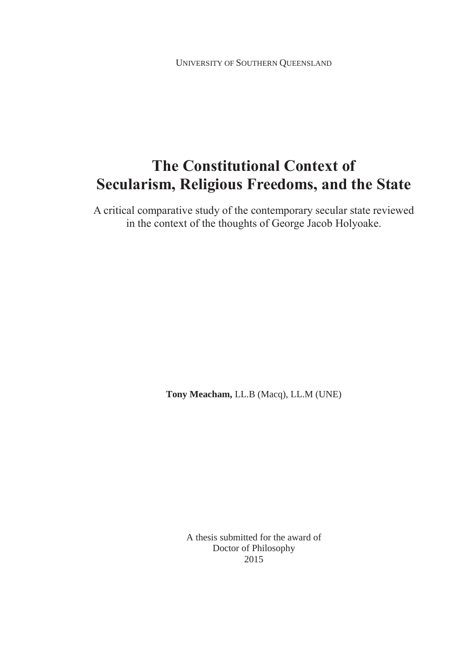UNIVERSITY OF SOUTHERN QUEENSLAND

# **The Constitutional Context of Secularism, Religious Freedoms, and the State**

A critical comparative study of the contemporary secular state reviewed in the context of the thoughts of George Jacob Holyoake.

**Tony Meacham,** LL.B (Macq), LL.M (UNE)

A thesis submitted for the award of Doctor of Philosophy 2015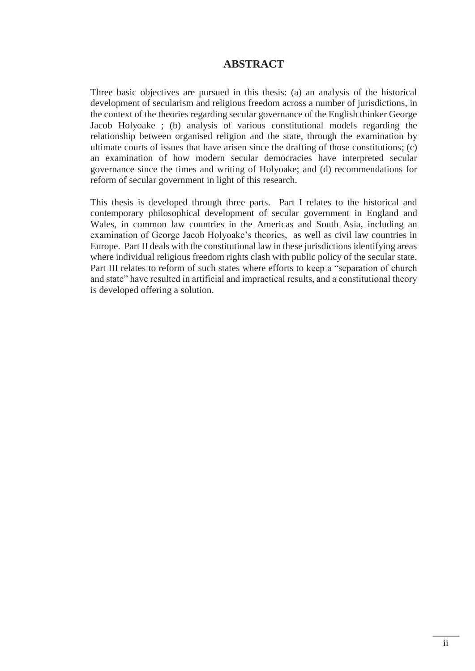#### **ABSTRACT**

Three basic objectives are pursued in this thesis: (a) an analysis of the historical development of secularism and religious freedom across a number of jurisdictions, in the context of the theories regarding secular governance of the English thinker George Jacob Holyoake ; (b) analysis of various constitutional models regarding the relationship between organised religion and the state, through the examination by ultimate courts of issues that have arisen since the drafting of those constitutions; (c) an examination of how modern secular democracies have interpreted secular governance since the times and writing of Holyoake; and (d) recommendations for reform of secular government in light of this research.

This thesis is developed through three parts. Part I relates to the historical and contemporary philosophical development of secular government in England and Wales, in common law countries in the Americas and South Asia, including an examination of George Jacob Holyoake's theories, as well as civil law countries in Europe. Part II deals with the constitutional law in these jurisdictions identifying areas where individual religious freedom rights clash with public policy of the secular state. Part III relates to reform of such states where efforts to keep a "separation of church and state" have resulted in artificial and impractical results, and a constitutional theory is developed offering a solution.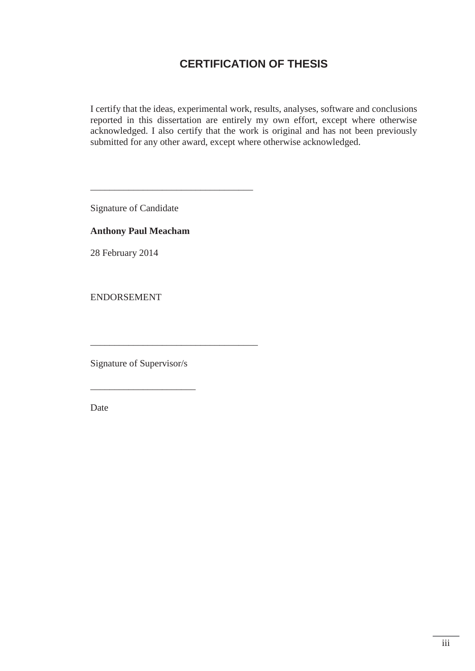### **CERTIFICATION OF THESIS**

I certify that the ideas, experimental work, results, analyses, software and conclusions reported in this dissertation are entirely my own effort, except where otherwise acknowledged. I also certify that the work is original and has not been previously submitted for any other award, except where otherwise acknowledged.

Signature of Candidate

#### **Anthony Paul Meacham**

\_\_\_\_\_\_\_\_\_\_\_\_\_\_\_\_\_\_\_\_\_\_\_\_\_\_\_\_\_\_\_\_\_\_

\_\_\_\_\_\_\_\_\_\_\_\_\_\_\_\_\_\_\_\_\_\_\_\_\_\_\_\_\_\_\_\_\_\_\_

28 February 2014

ENDORSEMENT

Signature of Supervisor/s

\_\_\_\_\_\_\_\_\_\_\_\_\_\_\_\_\_\_\_\_\_\_

Date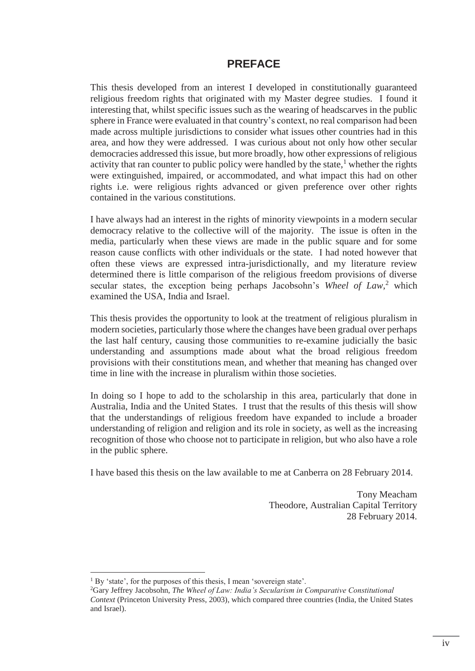#### **PREFACE**

This thesis developed from an interest I developed in constitutionally guaranteed religious freedom rights that originated with my Master degree studies. I found it interesting that, whilst specific issues such as the wearing of headscarves in the public sphere in France were evaluated in that country's context, no real comparison had been made across multiple jurisdictions to consider what issues other countries had in this area, and how they were addressed. I was curious about not only how other secular democracies addressed this issue, but more broadly, how other expressions of religious activity that ran counter to public policy were handled by the state, $<sup>1</sup>$  whether the rights</sup> were extinguished, impaired, or accommodated, and what impact this had on other rights i.e. were religious rights advanced or given preference over other rights contained in the various constitutions.

I have always had an interest in the rights of minority viewpoints in a modern secular democracy relative to the collective will of the majority. The issue is often in the media, particularly when these views are made in the public square and for some reason cause conflicts with other individuals or the state. I had noted however that often these views are expressed intra-jurisdictionally, and my literature review determined there is little comparison of the religious freedom provisions of diverse secular states, the exception being perhaps Jacobsohn's Wheel of Law,<sup>2</sup> which examined the USA, India and Israel.

This thesis provides the opportunity to look at the treatment of religious pluralism in modern societies, particularly those where the changes have been gradual over perhaps the last half century, causing those communities to re-examine judicially the basic understanding and assumptions made about what the broad religious freedom provisions with their constitutions mean, and whether that meaning has changed over time in line with the increase in pluralism within those societies.

In doing so I hope to add to the scholarship in this area, particularly that done in Australia, India and the United States. I trust that the results of this thesis will show that the understandings of religious freedom have expanded to include a broader understanding of religion and religion and its role in society, as well as the increasing recognition of those who choose not to participate in religion, but who also have a role in the public sphere.

I have based this thesis on the law available to me at Canberra on 28 February 2014.

Tony Meacham Theodore, Australian Capital Territory 28 February 2014.

 $\overline{a}$ 

<sup>&</sup>lt;sup>1</sup> By 'state', for the purposes of this thesis. I mean 'sovereign state'.

<sup>2</sup> Gary Jeffrey Jacobsohn, *The Wheel of Law: India's Secularism in Comparative Constitutional Context* (Princeton University Press, 2003), which compared three countries (India, the United States and Israel).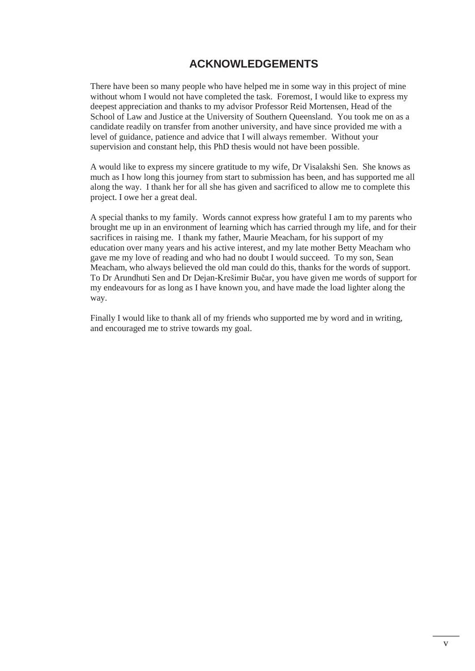### **ACKNOWLEDGEMENTS**

There have been so many people who have helped me in some way in this project of mine without whom I would not have completed the task. Foremost, I would like to express my deepest appreciation and thanks to my advisor Professor Reid Mortensen, Head of the School of Law and Justice at the University of Southern Queensland. You took me on as a candidate readily on transfer from another university, and have since provided me with a level of guidance, patience and advice that I will always remember. Without your supervision and constant help, this PhD thesis would not have been possible.

A would like to express my sincere gratitude to my wife, Dr Visalakshi Sen. She knows as much as I how long this journey from start to submission has been, and has supported me all along the way. I thank her for all she has given and sacrificed to allow me to complete this project. I owe her a great deal.

A special thanks to my family. Words cannot express how grateful I am to my parents who brought me up in an environment of learning which has carried through my life, and for their sacrifices in raising me. I thank my father, Maurie Meacham, for his support of my education over many years and his active interest, and my late mother Betty Meacham who gave me my love of reading and who had no doubt I would succeed. To my son, Sean Meacham, who always believed the old man could do this, thanks for the words of support. To Dr Arundhuti Sen and Dr Dejan-Krešimir Bučar, you have given me words of support for my endeavours for as long as I have known you, and have made the load lighter along the way.

Finally I would like to thank all of my friends who supported me by word and in writing, and encouraged me to strive towards my goal.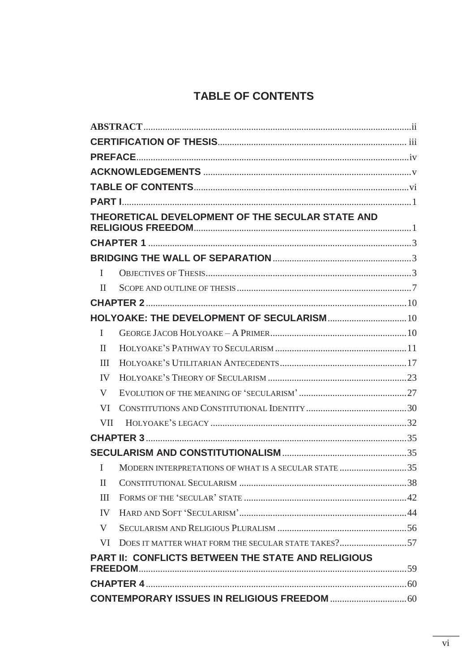## TABLE OF CONTENTS

|                                                    | THEORETICAL DEVELOPMENT OF THE SECULAR STATE AND     |  |  |  |
|----------------------------------------------------|------------------------------------------------------|--|--|--|
|                                                    |                                                      |  |  |  |
|                                                    |                                                      |  |  |  |
| L                                                  |                                                      |  |  |  |
| H                                                  |                                                      |  |  |  |
|                                                    |                                                      |  |  |  |
|                                                    |                                                      |  |  |  |
| L                                                  |                                                      |  |  |  |
| $\mathbf{I}$                                       |                                                      |  |  |  |
| III                                                |                                                      |  |  |  |
| IV                                                 |                                                      |  |  |  |
| V                                                  |                                                      |  |  |  |
| VI                                                 |                                                      |  |  |  |
| <b>VII</b>                                         |                                                      |  |  |  |
|                                                    |                                                      |  |  |  |
|                                                    |                                                      |  |  |  |
| L                                                  | MODERN INTERPRETATIONS OF WHAT IS A SECULAR STATE 35 |  |  |  |
| $\mathbf{I}$                                       |                                                      |  |  |  |
| III                                                |                                                      |  |  |  |
| IV                                                 |                                                      |  |  |  |
| V                                                  |                                                      |  |  |  |
| VI.                                                | DOES IT MATTER WHAT FORM THE SECULAR STATE TAKES?57  |  |  |  |
| PART II: CONFLICTS BETWEEN THE STATE AND RELIGIOUS |                                                      |  |  |  |
|                                                    |                                                      |  |  |  |
|                                                    |                                                      |  |  |  |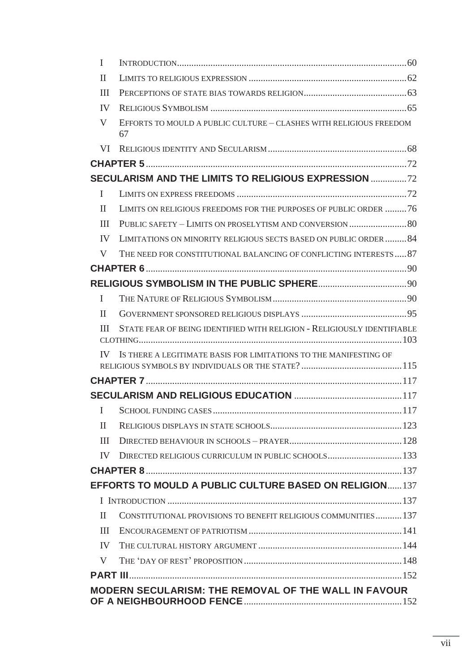| $\mathbf I$                                                 |                                                                          |  |  |  |
|-------------------------------------------------------------|--------------------------------------------------------------------------|--|--|--|
| $\mathbf{I}$                                                |                                                                          |  |  |  |
| Ш                                                           |                                                                          |  |  |  |
| IV                                                          |                                                                          |  |  |  |
| V                                                           | EFFORTS TO MOULD A PUBLIC CULTURE - CLASHES WITH RELIGIOUS FREEDOM<br>67 |  |  |  |
|                                                             |                                                                          |  |  |  |
|                                                             |                                                                          |  |  |  |
|                                                             | SECULARISM AND THE LIMITS TO RELIGIOUS EXPRESSION                        |  |  |  |
| $\mathbf I$                                                 |                                                                          |  |  |  |
| $\mathbf{H}$                                                | LIMITS ON RELIGIOUS FREEDOMS FOR THE PURPOSES OF PUBLIC ORDER 76         |  |  |  |
| III                                                         |                                                                          |  |  |  |
| IV                                                          | LIMITATIONS ON MINORITY RELIGIOUS SECTS BASED ON PUBLIC ORDER 84         |  |  |  |
| V                                                           | THE NEED FOR CONSTITUTIONAL BALANCING OF CONFLICTING INTERESTS 87        |  |  |  |
|                                                             |                                                                          |  |  |  |
|                                                             |                                                                          |  |  |  |
| I                                                           |                                                                          |  |  |  |
| $\mathbf{I}$                                                |                                                                          |  |  |  |
| Ш                                                           | STATE FEAR OF BEING IDENTIFIED WITH RELIGION - RELIGIOUSLY IDENTIFIABLE  |  |  |  |
| IV.                                                         | IS THERE A LEGITIMATE BASIS FOR LIMITATIONS TO THE MANIFESTING OF        |  |  |  |
|                                                             |                                                                          |  |  |  |
|                                                             |                                                                          |  |  |  |
| Ι.                                                          |                                                                          |  |  |  |
| $\mathbf{I}$                                                |                                                                          |  |  |  |
| Ш                                                           |                                                                          |  |  |  |
| IV                                                          | DIRECTED RELIGIOUS CURRICULUM IN PUBLIC SCHOOLS 133                      |  |  |  |
|                                                             |                                                                          |  |  |  |
|                                                             | <b>EFFORTS TO MOULD A PUBLIC CULTURE BASED ON RELIGION 137</b>           |  |  |  |
|                                                             |                                                                          |  |  |  |
| $\mathbf{I}$                                                | CONSTITUTIONAL PROVISIONS TO BENEFIT RELIGIOUS COMMUNITIES137            |  |  |  |
| Ш                                                           |                                                                          |  |  |  |
| IV                                                          |                                                                          |  |  |  |
| V                                                           |                                                                          |  |  |  |
|                                                             |                                                                          |  |  |  |
| <b>MODERN SECULARISM: THE REMOVAL OF THE WALL IN FAVOUR</b> |                                                                          |  |  |  |
|                                                             |                                                                          |  |  |  |